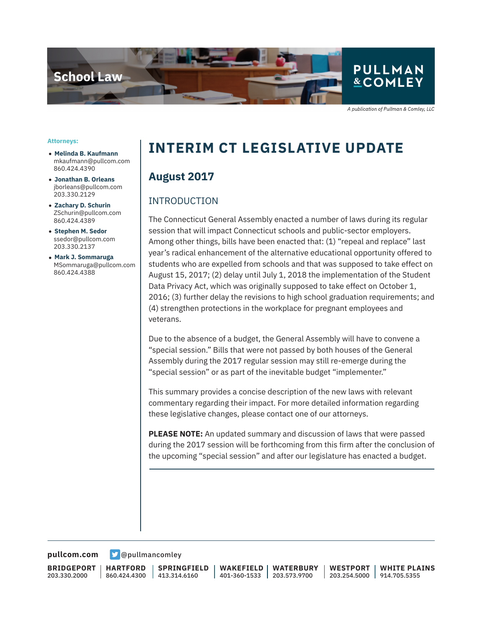

A publication of Pullman & Comley, LLC

#### **Attorneys:**

- **Melinda B. Kaufmann** mkaufmann@pullcom.com 860.424.4390
- **Jonathan B. Orleans** jborleans@pullcom.com 203.330.2129
- **Zachary D. Schurin** ZSchurin@pullcom.com 860.424.4389
- **Stephen M. Sedor** ssedor@pullcom.com 203.330.2137
- **Mark J. Sommaruga** MSommaruga@pullcom.com 860.424.4388

# **INTERIM CT LEGISLATIVE UPDATE**

## **August 2017**

## INTRODUCTION

The Connecticut General Assembly enacted a number of laws during its regular session that will impact Connecticut schools and public-sector employers. Among other things, bills have been enacted that: (1) "repeal and replace" last year's radical enhancement of the alternative educational opportunity offered to students who are expelled from schools and that was supposed to take effect on August 15, 2017; (2) delay until July 1, 2018 the implementation of the Student Data Privacy Act, which was originally supposed to take effect on October 1, 2016; (3) further delay the revisions to high school graduation requirements; and (4) strengthen protections in the workplace for pregnant employees and veterans.

Due to the absence of a budget, the General Assembly will have to convene a "special session." Bills that were not passed by both houses of the General Assembly during the 2017 regular session may still re-emerge during the "special session" or as part of the inevitable budget "implementer."

This summary provides a concise description of the new laws with relevant commentary regarding their impact. For more detailed information regarding these legislative changes, please contact one of our attorneys.

**PLEASE NOTE:** An updated summary and discussion of laws that were passed during the 2017 session will be forthcoming from this firm after the conclusion of the upcoming "special session" and after our legislature has enacted a budget.

**[pullcom.com](https://www.pullcom.com) g** [@pullmancomley](https://twitter.com/PullmanComley)

**BRIDGEPORT** 203.330.2000

**HARTFORD** 860.424.4300

l

**SPRINGFIELD** 413.314.6160

**WAKEFIELD** 401-360-1533 **WATERBURY** 203.573.9700

**WESTPORT**

203.254.5000 914.705.5355 **WHITE PLAINS**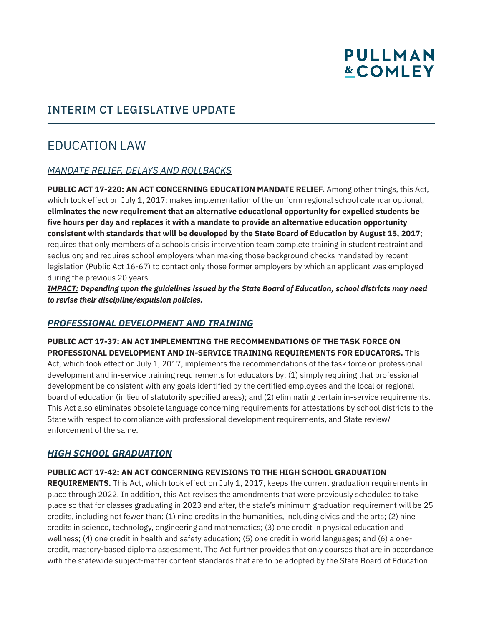# INTERIM CT LEGISLATIVE UPDATE

# EDUCATION LAW

## *MANDATE RELIEF, DELAYS AND ROLLBACKS*

**PUBLIC ACT 17-220: AN ACT CONCERNING EDUCATION MANDATE RELIEF.** Among other things, this Act, which took effect on July 1, 2017: makes implementation of the uniform regional school calendar optional; **eliminates the new requirement that an alternative educational opportunity for expelled students be five hours per day and replaces it with a mandate to provide an alternative education opportunity consistent with standards that will be developed by the State Board of Education by August 15, 2017**; requires that only members of a schools crisis intervention team complete training in student restraint and seclusion; and requires school employers when making those background checks mandated by recent legislation (Public Act 16-67) to contact only those former employers by which an applicant was employed during the previous 20 years.

*IMPACT: Depending upon the guidelines issued by the State Board of Education, school districts may need to revise their discipline/expulsion policies.*

## *PROFESSIONAL DEVELOPMENT AND TRAINING*

**PUBLIC ACT 17-37: AN ACT IMPLEMENTING THE RECOMMENDATIONS OF THE TASK FORCE ON PROFESSIONAL DEVELOPMENT AND IN-SERVICE TRAINING REQUIREMENTS FOR EDUCATORS.** This Act, which took effect on July 1, 2017, implements the recommendations of the task force on professional development and in-service training requirements for educators by: (1) simply requiring that professional development be consistent with any goals identified by the certified employees and the local or regional board of education (in lieu of statutorily specified areas); and (2) eliminating certain in-service requirements. This Act also eliminates obsolete language concerning requirements for attestations by school districts to the State with respect to compliance with professional development requirements, and State review/ enforcement of the same.

## *HIGH SCHOOL GRADUATION*

#### **PUBLIC ACT 17-42: AN ACT CONCERNING REVISIONS TO THE HIGH SCHOOL GRADUATION**

**REQUIREMENTS.** This Act, which took effect on July 1, 2017, keeps the current graduation requirements in place through 2022. In addition, this Act revises the amendments that were previously scheduled to take place so that for classes graduating in 2023 and after, the state's minimum graduation requirement will be 25 credits, including not fewer than: (1) nine credits in the humanities, including civics and the arts; (2) nine credits in science, technology, engineering and mathematics; (3) one credit in physical education and wellness; (4) one credit in health and safety education; (5) one credit in world languages; and (6) a onecredit, mastery-based diploma assessment. The Act further provides that only courses that are in accordance with the statewide subject-matter content standards that are to be adopted by the State Board of Education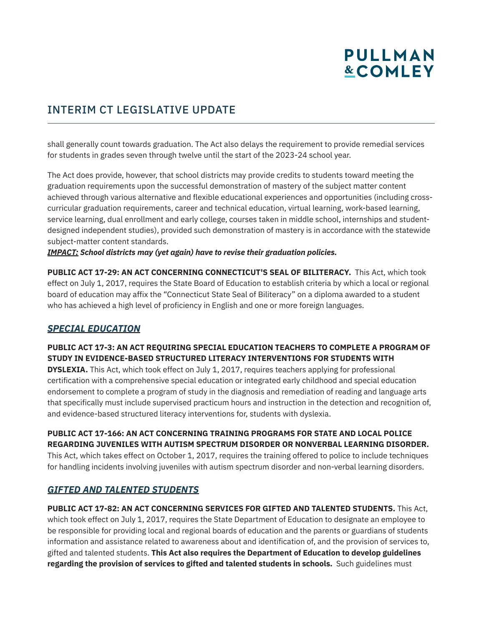# INTERIM CT LEGISLATIVE UPDATE

shall generally count towards graduation. The Act also delays the requirement to provide remedial services for students in grades seven through twelve until the start of the 2023-24 school year.

The Act does provide, however, that school districts may provide credits to students toward meeting the graduation requirements upon the successful demonstration of mastery of the subject matter content achieved through various alternative and flexible educational experiences and opportunities (including crosscurricular graduation requirements, career and technical education, virtual learning, work-based learning, service learning, dual enrollment and early college, courses taken in middle school, internships and studentdesigned independent studies), provided such demonstration of mastery is in accordance with the statewide subject-matter content standards.

*IMPACT: School districts may (yet again) have to revise their graduation policies.* 

**PUBLIC ACT 17-29: AN ACT CONCERNING CONNECTICUT'S SEAL OF BILITERACY.** This Act, which took effect on July 1, 2017, requires the State Board of Education to establish criteria by which a local or regional board of education may affix the "Connecticut State Seal of Biliteracy" on a diploma awarded to a student who has achieved a high level of proficiency in English and one or more foreign languages.

## *SPECIAL EDUCATION*

**PUBLIC ACT 17-3: AN ACT REQUIRING SPECIAL EDUCATION TEACHERS TO COMPLETE A PROGRAM OF STUDY IN EVIDENCE-BASED STRUCTURED LITERACY INTERVENTIONS FOR STUDENTS WITH**

**DYSLEXIA.** This Act, which took effect on July 1, 2017, requires teachers applying for professional certification with a comprehensive special education or integrated early childhood and special education endorsement to complete a program of study in the diagnosis and remediation of reading and language arts that specifically must include supervised practicum hours and instruction in the detection and recognition of, and evidence-based structured literacy interventions for, students with dyslexia.

**PUBLIC ACT 17-166: AN ACT CONCERNING TRAINING PROGRAMS FOR STATE AND LOCAL POLICE REGARDING JUVENILES WITH AUTISM SPECTRUM DISORDER OR NONVERBAL LEARNING DISORDER.**  This Act, which takes effect on October 1, 2017, requires the training offered to police to include techniques for handling incidents involving juveniles with autism spectrum disorder and non-verbal learning disorders.

## *GIFTED AND TALENTED STUDENTS*

**PUBLIC ACT 17-82: AN ACT CONCERNING SERVICES FOR GIFTED AND TALENTED STUDENTS.** This Act, which took effect on July 1, 2017, requires the State Department of Education to designate an employee to be responsible for providing local and regional boards of education and the parents or guardians of students information and assistance related to awareness about and identification of, and the provision of services to, gifted and talented students. **This Act also requires the Department of Education to develop guidelines regarding the provision of services to gifted and talented students in schools.** Such guidelines must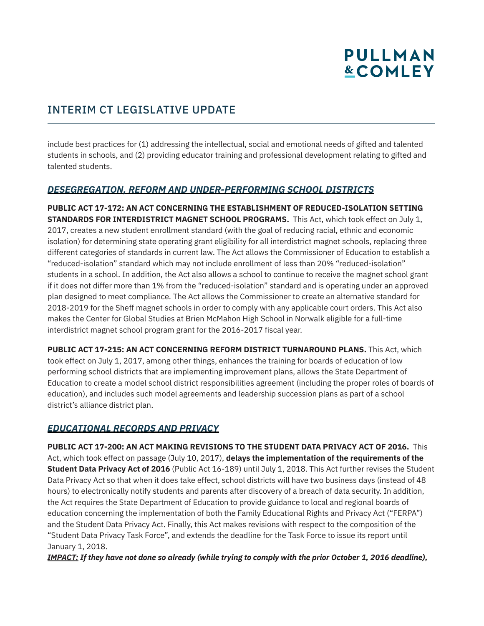# INTERIM CT LEGISLATIVE UPDATE

include best practices for (1) addressing the intellectual, social and emotional needs of gifted and talented students in schools, and (2) providing educator training and professional development relating to gifted and talented students.

## *DESEGREGATION, REFORM AND UNDER-PERFORMING SCHOOL DISTRICTS*

**PUBLIC ACT 17-172: AN ACT CONCERNING THE ESTABLISHMENT OF REDUCED-ISOLATION SETTING STANDARDS FOR INTERDISTRICT MAGNET SCHOOL PROGRAMS.** This Act, which took effect on July 1, 2017, creates a new student enrollment standard (with the goal of reducing racial, ethnic and economic isolation) for determining state operating grant eligibility for all interdistrict magnet schools, replacing three different categories of standards in current law. The Act allows the Commissioner of Education to establish a "reduced-isolation" standard which may not include enrollment of less than 20% "reduced-isolation" students in a school. In addition, the Act also allows a school to continue to receive the magnet school grant if it does not differ more than 1% from the "reduced-isolation" standard and is operating under an approved plan designed to meet compliance. The Act allows the Commissioner to create an alternative standard for 2018-2019 for the Sheff magnet schools in order to comply with any applicable court orders. This Act also makes the Center for Global Studies at Brien McMahon High School in Norwalk eligible for a full-time interdistrict magnet school program grant for the 2016-2017 fiscal year.

**PUBLIC ACT 17-215: AN ACT CONCERNING REFORM DISTRICT TURNAROUND PLANS.** This Act, which took effect on July 1, 2017, among other things, enhances the training for boards of education of low performing school districts that are implementing improvement plans, allows the State Department of Education to create a model school district responsibilities agreement (including the proper roles of boards of education), and includes such model agreements and leadership succession plans as part of a school district's alliance district plan.

# *EDUCATIONAL RECORDS AND PRIVACY*

**PUBLIC ACT 17-200: AN ACT MAKING REVISIONS TO THE STUDENT DATA PRIVACY ACT OF 2016.** This Act, which took effect on passage (July 10, 2017), **delays the implementation of the requirements of the Student Data Privacy Act of 2016** (Public Act 16-189) until July 1, 2018. This Act further revises the Student Data Privacy Act so that when it does take effect, school districts will have two business days (instead of 48 hours) to electronically notify students and parents after discovery of a breach of data security. In addition, the Act requires the State Department of Education to provide guidance to local and regional boards of education concerning the implementation of both the Family Educational Rights and Privacy Act ("FERPA") and the Student Data Privacy Act. Finally, this Act makes revisions with respect to the composition of the "Student Data Privacy Task Force", and extends the deadline for the Task Force to issue its report until January 1, 2018.

*IMPACT: If they have not done so already (while trying to comply with the prior October 1, 2016 deadline),*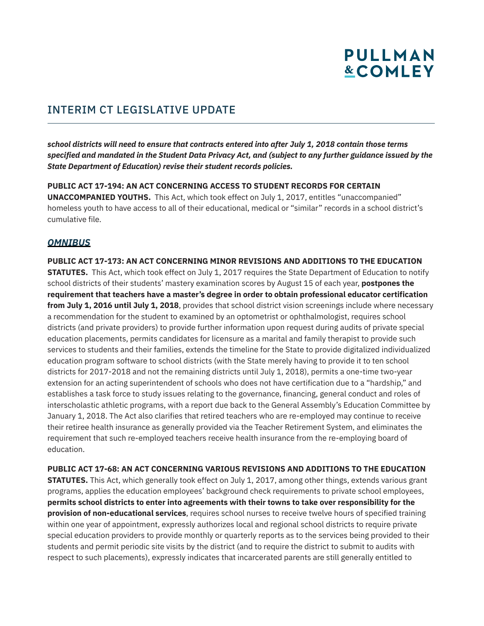# INTERIM CT LEGISLATIVE UPDATE

*school districts will need to ensure that contracts entered into after July 1, 2018 contain those terms specified and mandated in the Student Data Privacy Act, and (subject to any further guidance issued by the State Department of Education) revise their student records policies.* 

**PUBLIC ACT 17-194: AN ACT CONCERNING ACCESS TO STUDENT RECORDS FOR CERTAIN UNACCOMPANIED YOUTHS.** This Act, which took effect on July 1, 2017, entitles "unaccompanied" homeless youth to have access to all of their educational, medical or "similar" records in a school district's cumulative file.

## *OMNIBUS*

**PUBLIC ACT 17-173: AN ACT CONCERNING MINOR REVISIONS AND ADDITIONS TO THE EDUCATION STATUTES.** This Act, which took effect on July 1, 2017 requires the State Department of Education to notify school districts of their students' mastery examination scores by August 15 of each year, **postpones the requirement that teachers have a master's degree in order to obtain professional educator certification from July 1, 2016 until July 1, 2018**, provides that school district vision screenings include where necessary a recommendation for the student to examined by an optometrist or ophthalmologist, requires school districts (and private providers) to provide further information upon request during audits of private special education placements, permits candidates for licensure as a marital and family therapist to provide such services to students and their families, extends the timeline for the State to provide digitalized individualized education program software to school districts (with the State merely having to provide it to ten school districts for 2017-2018 and not the remaining districts until July 1, 2018), permits a one-time two-year extension for an acting superintendent of schools who does not have certification due to a "hardship," and establishes a task force to study issues relating to the governance, financing, general conduct and roles of interscholastic athletic programs, with a report due back to the General Assembly's Education Committee by January 1, 2018. The Act also clarifies that retired teachers who are re-employed may continue to receive their retiree health insurance as generally provided via the Teacher Retirement System, and eliminates the requirement that such re-employed teachers receive health insurance from the re-employing board of education.

**PUBLIC ACT 17-68: AN ACT CONCERNING VARIOUS REVISIONS AND ADDITIONS TO THE EDUCATION STATUTES.** This Act, which generally took effect on July 1, 2017, among other things, extends various grant programs, applies the education employees' background check requirements to private school employees, **permits school districts to enter into agreements with their towns to take over responsibility for the provision of non-educational services**, requires school nurses to receive twelve hours of specified training within one year of appointment, expressly authorizes local and regional school districts to require private special education providers to provide monthly or quarterly reports as to the services being provided to their students and permit periodic site visits by the district (and to require the district to submit to audits with respect to such placements), expressly indicates that incarcerated parents are still generally entitled to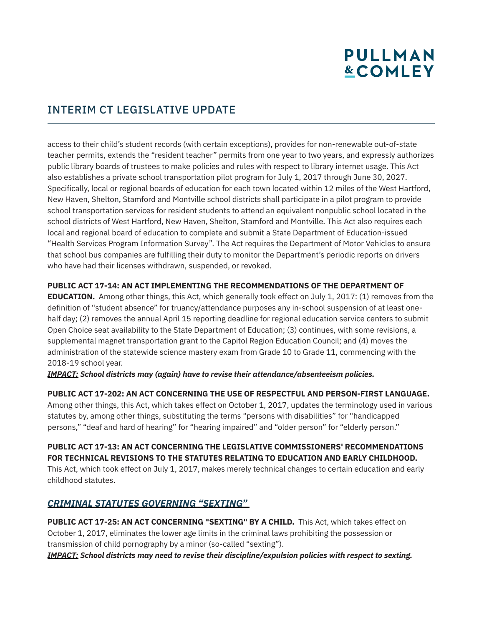# INTERIM CT LEGISLATIVE UPDATE

access to their child's student records (with certain exceptions), provides for non-renewable out-of-state teacher permits, extends the "resident teacher" permits from one year to two years, and expressly authorizes public library boards of trustees to make policies and rules with respect to library internet usage. This Act also establishes a private school transportation pilot program for July 1, 2017 through June 30, 2027. Specifically, local or regional boards of education for each town located within 12 miles of the West Hartford, New Haven, Shelton, Stamford and Montville school districts shall participate in a pilot program to provide school transportation services for resident students to attend an equivalent nonpublic school located in the school districts of West Hartford, New Haven, Shelton, Stamford and Montville. This Act also requires each local and regional board of education to complete and submit a State Department of Education-issued "Health Services Program Information Survey". The Act requires the Department of Motor Vehicles to ensure that school bus companies are fulfilling their duty to monitor the Department's periodic reports on drivers who have had their licenses withdrawn, suspended, or revoked.

#### **PUBLIC ACT 17-14: AN ACT IMPLEMENTING THE RECOMMENDATIONS OF THE DEPARTMENT OF**

**EDUCATION.** Among other things, this Act, which generally took effect on July 1, 2017: (1) removes from the definition of "student absence" for truancy/attendance purposes any in-school suspension of at least onehalf day; (2) removes the annual April 15 reporting deadline for regional education service centers to submit Open Choice seat availability to the State Department of Education; (3) continues, with some revisions, a supplemental magnet transportation grant to the Capitol Region Education Council; and (4) moves the administration of the statewide science mastery exam from Grade 10 to Grade 11, commencing with the 2018-19 school year.

*IMPACT: School districts may (again) have to revise their attendance/absenteeism policies.* 

#### **PUBLIC ACT 17-202: AN ACT CONCERNING THE USE OF RESPECTFUL AND PERSON-FIRST LANGUAGE.**

Among other things, this Act, which takes effect on October 1, 2017, updates the terminology used in various statutes by, among other things, substituting the terms "persons with disabilities" for "handicapped persons," "deaf and hard of hearing" for "hearing impaired" and "older person" for "elderly person."

### **PUBLIC ACT 17-13: AN ACT CONCERNING THE LEGISLATIVE COMMISSIONERS' RECOMMENDATIONS FOR TECHNICAL REVISIONS TO THE STATUTES RELATING TO EDUCATION AND EARLY CHILDHOOD.**

This Act, which took effect on July 1, 2017, makes merely technical changes to certain education and early childhood statutes.

## *CRIMINAL STATUTES GOVERNING "SEXTING"*

**PUBLIC ACT 17-25: AN ACT CONCERNING "SEXTING" BY A CHILD.** This Act, which takes effect on October 1, 2017, eliminates the lower age limits in the criminal laws prohibiting the possession or transmission of child pornography by a minor (so-called "sexting").

*IMPACT: School districts may need to revise their discipline/expulsion policies with respect to sexting.*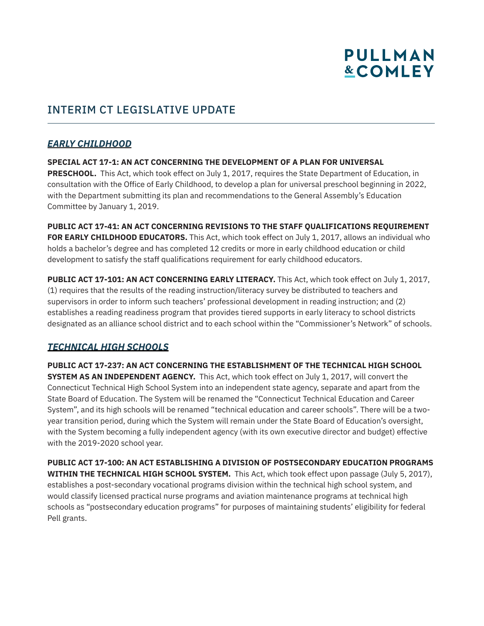# INTERIM CT LEGISLATIVE UPDATE

## *EARLY CHILDHOOD*

**SPECIAL ACT 17-1: AN ACT CONCERNING THE DEVELOPMENT OF A PLAN FOR UNIVERSAL PRESCHOOL.** This Act, which took effect on July 1, 2017, requires the State Department of Education, in consultation with the Office of Early Childhood, to develop a plan for universal preschool beginning in 2022, with the Department submitting its plan and recommendations to the General Assembly's Education Committee by January 1, 2019.

**PUBLIC ACT 17-41: AN ACT CONCERNING REVISIONS TO THE STAFF QUALIFICATIONS REQUIREMENT FOR EARLY CHILDHOOD EDUCATORS.** This Act, which took effect on July 1, 2017, allows an individual who holds a bachelor's degree and has completed 12 credits or more in early childhood education or child development to satisfy the staff qualifications requirement for early childhood educators.

**PUBLIC ACT 17-101: AN ACT CONCERNING EARLY LITERACY.** This Act, which took effect on July 1, 2017, (1) requires that the results of the reading instruction/literacy survey be distributed to teachers and supervisors in order to inform such teachers' professional development in reading instruction; and (2) establishes a reading readiness program that provides tiered supports in early literacy to school districts designated as an alliance school district and to each school within the "Commissioner's Network" of schools.

## *TECHNICAL HIGH SCHOOLS*

**PUBLIC ACT 17-237: AN ACT CONCERNING THE ESTABLISHMENT OF THE TECHNICAL HIGH SCHOOL SYSTEM AS AN INDEPENDENT AGENCY.** This Act, which took effect on July 1, 2017, will convert the Connecticut Technical High School System into an independent state agency, separate and apart from the State Board of Education. The System will be renamed the "Connecticut Technical Education and Career System", and its high schools will be renamed "technical education and career schools". There will be a twoyear transition period, during which the System will remain under the State Board of Education's oversight, with the System becoming a fully independent agency (with its own executive director and budget) effective with the 2019-2020 school year.

**PUBLIC ACT 17-100: AN ACT ESTABLISHING A DIVISION OF POSTSECONDARY EDUCATION PROGRAMS WITHIN THE TECHNICAL HIGH SCHOOL SYSTEM.** This Act, which took effect upon passage (July 5, 2017), establishes a post-secondary vocational programs division within the technical high school system, and would classify licensed practical nurse programs and aviation maintenance programs at technical high schools as "postsecondary education programs" for purposes of maintaining students' eligibility for federal Pell grants.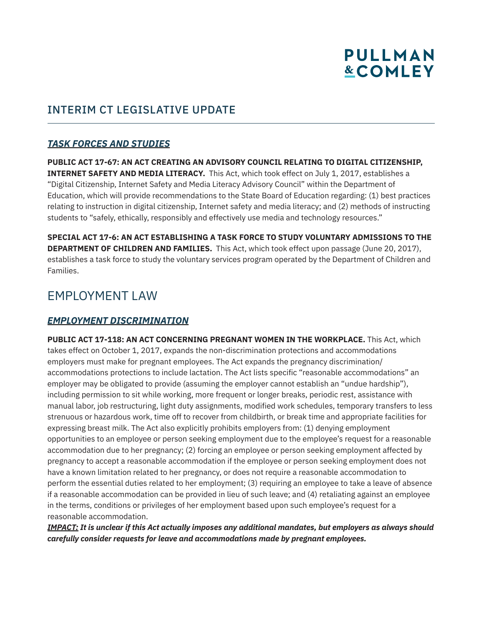# INTERIM CT LEGISLATIVE UPDATE

## *TASK FORCES AND STUDIES*

**PUBLIC ACT 17-67: AN ACT CREATING AN ADVISORY COUNCIL RELATING TO DIGITAL CITIZENSHIP, INTERNET SAFETY AND MEDIA LITERACY.** This Act, which took effect on July 1, 2017, establishes a "Digital Citizenship, Internet Safety and Media Literacy Advisory Council" within the Department of Education, which will provide recommendations to the State Board of Education regarding: (1) best practices relating to instruction in digital citizenship, Internet safety and media literacy; and (2) methods of instructing students to "safely, ethically, responsibly and effectively use media and technology resources."

**SPECIAL ACT 17-6: AN ACT ESTABLISHING A TASK FORCE TO STUDY VOLUNTARY ADMISSIONS TO THE DEPARTMENT OF CHILDREN AND FAMILIES.** This Act, which took effect upon passage (June 20, 2017), establishes a task force to study the voluntary services program operated by the Department of Children and Families.

# EMPLOYMENT LAW

## *EMPLOYMENT DISCRIMINATION*

**PUBLIC ACT 17-118: AN ACT CONCERNING PREGNANT WOMEN IN THE WORKPLACE.** This Act, which takes effect on October 1, 2017, expands the non-discrimination protections and accommodations employers must make for pregnant employees. The Act expands the pregnancy discrimination/ accommodations protections to include lactation. The Act lists specific "reasonable accommodations" an employer may be obligated to provide (assuming the employer cannot establish an "undue hardship"), including permission to sit while working, more frequent or longer breaks, periodic rest, assistance with manual labor, job restructuring, light duty assignments, modified work schedules, temporary transfers to less strenuous or hazardous work, time off to recover from childbirth, or break time and appropriate facilities for expressing breast milk. The Act also explicitly prohibits employers from: (1) denying employment opportunities to an employee or person seeking employment due to the employee's request for a reasonable accommodation due to her pregnancy; (2) forcing an employee or person seeking employment affected by pregnancy to accept a reasonable accommodation if the employee or person seeking employment does not have a known limitation related to her pregnancy, or does not require a reasonable accommodation to perform the essential duties related to her employment; (3) requiring an employee to take a leave of absence if a reasonable accommodation can be provided in lieu of such leave; and (4) retaliating against an employee in the terms, conditions or privileges of her employment based upon such employee's request for a reasonable accommodation.

*IMPACT: It is unclear if this Act actually imposes any additional mandates, but employers as always should carefully consider requests for leave and accommodations made by pregnant employees.*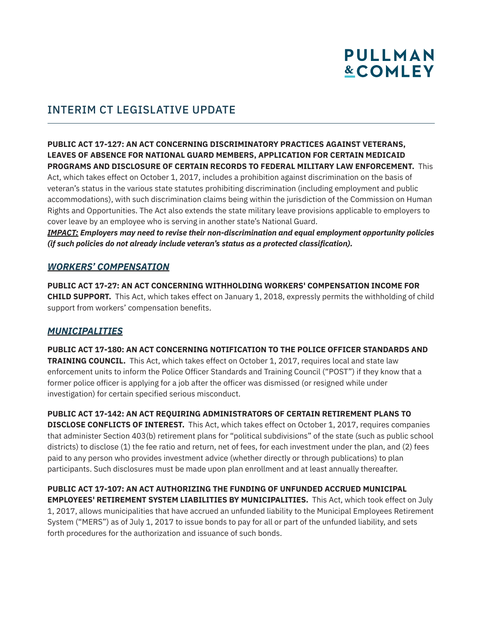

# INTERIM CT LEGISLATIVE UPDATE

#### **PUBLIC ACT 17-127: AN ACT CONCERNING DISCRIMINATORY PRACTICES AGAINST VETERANS, LEAVES OF ABSENCE FOR NATIONAL GUARD MEMBERS, APPLICATION FOR CERTAIN MEDICAID PROGRAMS AND DISCLOSURE OF CERTAIN RECORDS TO FEDERAL MILITARY LAW ENFORCEMENT.** This

Act, which takes effect on October 1, 2017, includes a prohibition against discrimination on the basis of veteran's status in the various state statutes prohibiting discrimination (including employment and public accommodations), with such discrimination claims being within the jurisdiction of the Commission on Human Rights and Opportunities. The Act also extends the state military leave provisions applicable to employers to cover leave by an employee who is serving in another state's National Guard.

*IMPACT: Employers may need to revise their non-discrimination and equal employment opportunity policies (if such policies do not already include veteran's status as a protected classification).* 

## *WORKERS' COMPENSATION*

**PUBLIC ACT 17-27: AN ACT CONCERNING WITHHOLDING WORKERS' COMPENSATION INCOME FOR CHILD SUPPORT.** This Act, which takes effect on January 1, 2018, expressly permits the withholding of child support from workers' compensation benefits.

## *MUNICIPALITIES*

**PUBLIC ACT 17-180: AN ACT CONCERNING NOTIFICATION TO THE POLICE OFFICER STANDARDS AND TRAINING COUNCIL.** This Act, which takes effect on October 1, 2017, requires local and state law enforcement units to inform the Police Officer Standards and Training Council ("POST") if they know that a former police officer is applying for a job after the officer was dismissed (or resigned while under investigation) for certain specified serious misconduct.

**PUBLIC ACT 17-142: AN ACT REQUIRING ADMINISTRATORS OF CERTAIN RETIREMENT PLANS TO DISCLOSE CONFLICTS OF INTEREST.** This Act, which takes effect on October 1, 2017, requires companies that administer Section 403(b) retirement plans for "political subdivisions" of the state (such as public school districts) to disclose (1) the fee ratio and return, net of fees, for each investment under the plan, and (2) fees paid to any person who provides investment advice (whether directly or through publications) to plan participants. Such disclosures must be made upon plan enrollment and at least annually thereafter.

## **PUBLIC ACT 17-107: AN ACT AUTHORIZING THE FUNDING OF UNFUNDED ACCRUED MUNICIPAL EMPLOYEES' RETIREMENT SYSTEM LIABILITIES BY MUNICIPALITIES.** This Act, which took effect on July

1, 2017, allows municipalities that have accrued an unfunded liability to the Municipal Employees Retirement System ("MERS") as of July 1, 2017 to issue bonds to pay for all or part of the unfunded liability, and sets forth procedures for the authorization and issuance of such bonds.